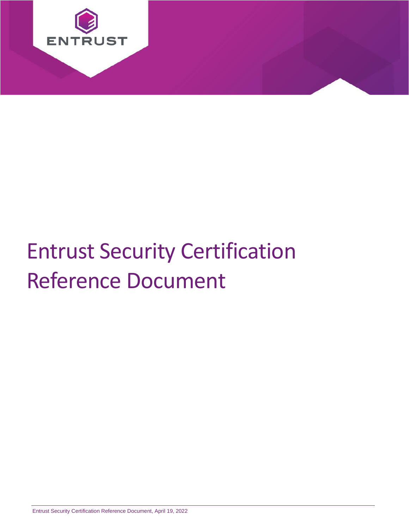

# Entrust Security Certification Reference Document

Entrust Security Certification Reference Document, April 19, 2022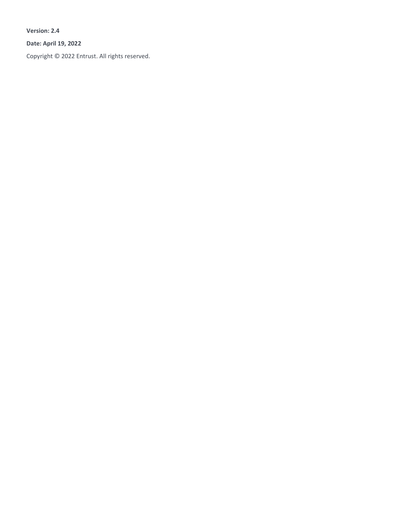**Version: 2.4**

**Date: April 19, 2022**

Copyright © 2022 Entrust. All rights reserved.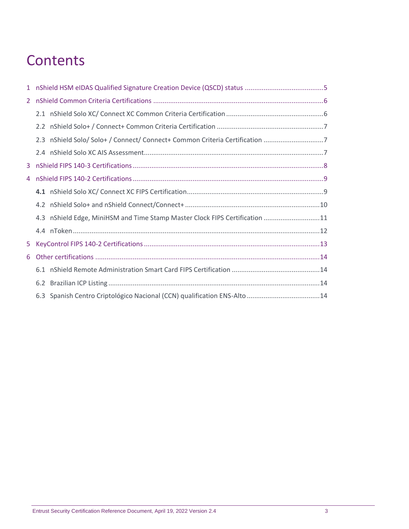### **Contents**

| $2^{\circ}$ |                                                                             |  |
|-------------|-----------------------------------------------------------------------------|--|
|             |                                                                             |  |
|             |                                                                             |  |
|             |                                                                             |  |
|             |                                                                             |  |
| 3.          |                                                                             |  |
| 4           |                                                                             |  |
|             |                                                                             |  |
|             |                                                                             |  |
|             | 4.3 nShield Edge, MiniHSM and Time Stamp Master Clock FIPS Certification 11 |  |
|             |                                                                             |  |
| 5.          |                                                                             |  |
| 6           |                                                                             |  |
|             |                                                                             |  |
|             |                                                                             |  |
|             | 6.3 Spanish Centro Criptológico Nacional (CCN) qualification ENS-Alto 14    |  |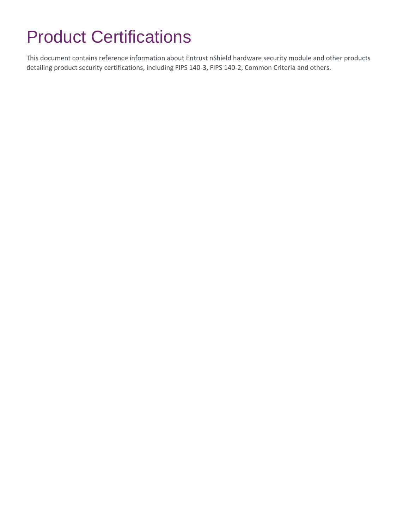## Product Certifications

This document contains reference information about Entrust nShield hardware security module and other products detailing product security certifications, including FIPS 140-3, FIPS 140-2, Common Criteria and others.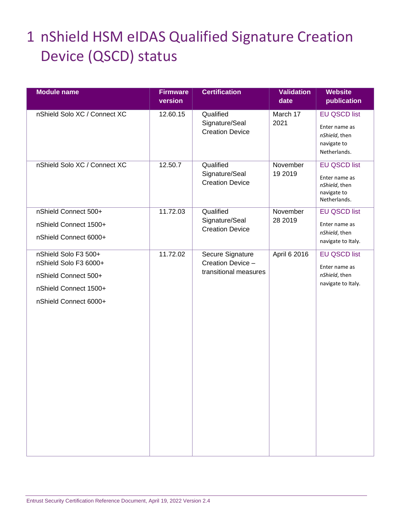### <span id="page-4-0"></span>1 nShield HSM eIDAS Qualified Signature Creation Device (QSCD) status

| <b>Module name</b>                                                                                                      | <b>Firmware</b><br>version | <b>Certification</b>                                           | <b>Validation</b><br>date | <b>Website</b><br>publication                                                        |
|-------------------------------------------------------------------------------------------------------------------------|----------------------------|----------------------------------------------------------------|---------------------------|--------------------------------------------------------------------------------------|
| nShield Solo XC / Connect XC                                                                                            | 12.60.15                   | Qualified<br>Signature/Seal<br><b>Creation Device</b>          | March 17<br>2021          | <b>EU QSCD list</b><br>Enter name as<br>nShield, then<br>navigate to<br>Netherlands. |
| nShield Solo XC / Connect XC                                                                                            | 12.50.7                    | Qualified<br>Signature/Seal<br><b>Creation Device</b>          | November<br>19 2019       | <b>EU QSCD list</b><br>Enter name as<br>nShield, then<br>navigate to<br>Netherlands. |
| nShield Connect 500+<br>nShield Connect 1500+<br>nShield Connect 6000+                                                  | 11.72.03                   | Qualified<br>Signature/Seal<br><b>Creation Device</b>          | November<br>28 2019       | <b>EU QSCD list</b><br>Enter name as<br>nShield, then<br>navigate to Italy.          |
| nShield Solo F3 500+<br>nShield Solo F3 6000+<br>nShield Connect 500+<br>nShield Connect 1500+<br>nShield Connect 6000+ | 11.72.02                   | Secure Signature<br>Creation Device -<br>transitional measures | April 6 2016              | <b>EU QSCD list</b><br>Enter name as<br>nShield, then<br>navigate to Italy.          |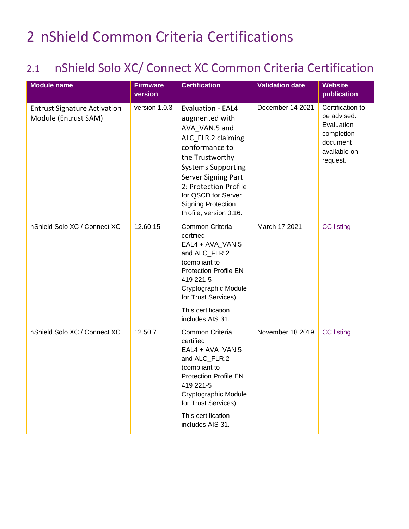### <span id="page-5-0"></span>2 nShield Common Criteria Certifications

#### <span id="page-5-1"></span>2.1 nShield Solo XC/ Connect XC Common Criteria Certification

| <b>Module name</b>                                          | <b>Firmware</b><br>version | <b>Certification</b>                                                                                                                                                                                                                                                       | <b>Validation date</b> | <b>Website</b><br>publication                                                                       |
|-------------------------------------------------------------|----------------------------|----------------------------------------------------------------------------------------------------------------------------------------------------------------------------------------------------------------------------------------------------------------------------|------------------------|-----------------------------------------------------------------------------------------------------|
| <b>Entrust Signature Activation</b><br>Module (Entrust SAM) | version 1.0.3              | Evaluation - EAL4<br>augmented with<br>AVA VAN.5 and<br>ALC FLR.2 claiming<br>conformance to<br>the Trustworthy<br><b>Systems Supporting</b><br>Server Signing Part<br>2: Protection Profile<br>for QSCD for Server<br><b>Signing Protection</b><br>Profile, version 0.16. | December 14 2021       | Certification to<br>be advised.<br>Evaluation<br>completion<br>document<br>available on<br>request. |
| nShield Solo XC / Connect XC                                | 12.60.15                   | Common Criteria<br>certified<br>EAL4 + AVA_VAN.5<br>and ALC_FLR.2<br>(compliant to<br><b>Protection Profile EN</b><br>419 221-5<br>Cryptographic Module<br>for Trust Services)<br>This certification<br>includes AIS 31.                                                   | March 17 2021          | <b>CC</b> listing                                                                                   |
| nShield Solo XC / Connect XC                                | 12.50.7                    | Common Criteria<br>certified<br>EAL4 + AVA_VAN.5<br>and ALC_FLR.2<br>(compliant to<br><b>Protection Profile EN</b><br>419 221-5<br>Cryptographic Module<br>for Trust Services)<br>This certification<br>includes AIS 31.                                                   | November 18 2019       | <b>CC</b> listing                                                                                   |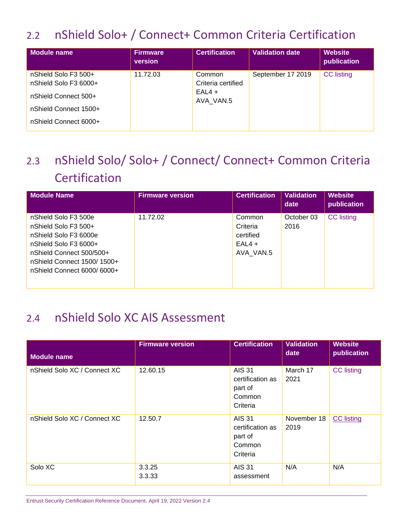#### <span id="page-6-0"></span>2.2 nShield Solo+ / Connect+ Common Criteria Certification

| Module name                                                                                                             | <b>Firmware</b><br>version | <b>Certification</b>                                  | <b>Validation date</b> | <b>Website</b><br>publication |
|-------------------------------------------------------------------------------------------------------------------------|----------------------------|-------------------------------------------------------|------------------------|-------------------------------|
| nShield Solo F3 500+<br>nShield Solo F3 6000+<br>nShield Connect 500+<br>nShield Connect 1500+<br>nShield Connect 6000+ | 11.72.03                   | Common<br>Criteria certified<br>$EAL4 +$<br>AVA VAN.5 | September 17 2019      | <b>CC</b> listing             |

### <span id="page-6-1"></span>2.3 nShield Solo/ Solo+ / Connect/ Connect+ Common Criteria **Certification**

| <b>Module Name</b>                                                                                                                                       | <b>Firmware version</b> | <b>Certification</b>                                     | <b>Validation</b><br>date | <b>Website</b><br>publication |
|----------------------------------------------------------------------------------------------------------------------------------------------------------|-------------------------|----------------------------------------------------------|---------------------------|-------------------------------|
| nShield Solo F3 500e<br>nShield Solo F3 500+<br>nShield Solo F3 6000e<br>nShield Solo F3 6000+<br>nShield Connect 500/500+<br>nShield Connect 1500/1500+ | 11.72.02                | Common<br>Criteria<br>certified<br>$EAL4 +$<br>AVA VAN.5 | October 03<br>2016        | <b>CC</b> listing             |
| nShield Connect 6000/6000+                                                                                                                               |                         |                                                          |                           |                               |

#### <span id="page-6-2"></span>2.4 nShield Solo XC AIS Assessment

| <b>Module name</b>           | <b>Firmware version</b> | <b>Certification</b>                                               | <b>Validation</b><br>date | <b>Website</b><br>publication |
|------------------------------|-------------------------|--------------------------------------------------------------------|---------------------------|-------------------------------|
| nShield Solo XC / Connect XC | 12.60.15                | <b>AIS 31</b><br>certification as<br>part of<br>Common<br>Criteria | March 17<br>2021          | <b>CC</b> listing             |
| nShield Solo XC / Connect XC | 12.50.7                 | <b>AIS 31</b><br>certification as<br>part of<br>Common<br>Criteria | November 18<br>2019       | <b>CC</b> listing             |
| Solo XC                      | 3.3.25<br>3.3.33        | <b>AIS 31</b><br>assessment                                        | N/A                       | N/A                           |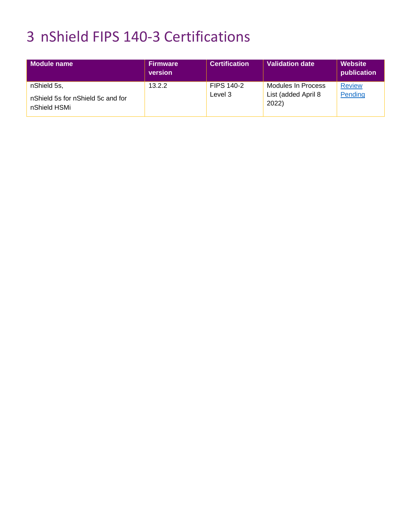### <span id="page-7-0"></span>3 nShield FIPS 140-3 Certifications

| Module name                                       | <b>Firmware</b><br>version | <b>Certification</b> | Validation date              | <b>Website</b><br>publication |
|---------------------------------------------------|----------------------------|----------------------|------------------------------|-------------------------------|
| nShield 5s,                                       | 13.2.2                     | <b>FIPS 140-2</b>    | Modules In Process           | <b>Review</b>                 |
| nShield 5s for nShield 5c and for<br>nShield HSMi |                            | Level 3              | List (added April 8<br>2022) | Pending                       |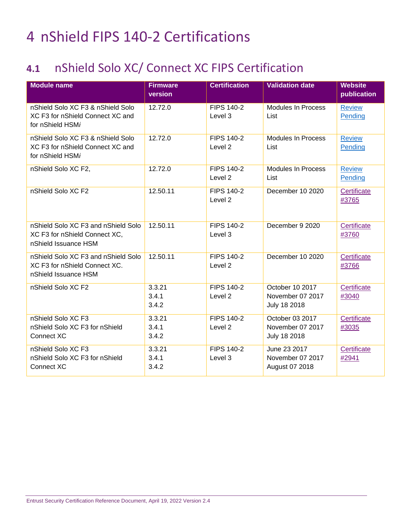### <span id="page-8-0"></span>4 nShield FIPS 140-2 Certifications

#### <span id="page-8-1"></span>**4.1** nShield Solo XC/ Connect XC FIPS Certification

| <b>Module name</b>                                                                           | <b>Firmware</b><br>version | <b>Certification</b>                    | <b>Validation date</b>                              | <b>Website</b><br>publication |
|----------------------------------------------------------------------------------------------|----------------------------|-----------------------------------------|-----------------------------------------------------|-------------------------------|
| nShield Solo XC F3 & nShield Solo<br>XC F3 for nShield Connect XC and<br>for nShield HSMi    | 12.72.0                    | <b>FIPS 140-2</b><br>Level 3            | <b>Modules In Process</b><br>List                   | <b>Review</b><br>Pending      |
| nShield Solo XC F3 & nShield Solo<br>XC F3 for nShield Connect XC and<br>for nShield HSMi    | 12.72.0                    | <b>FIPS 140-2</b><br>Level <sub>2</sub> | <b>Modules In Process</b><br>List                   | <b>Review</b><br>Pending      |
| nShield Solo XC F2,                                                                          | 12.72.0                    | <b>FIPS 140-2</b><br>Level <sub>2</sub> | <b>Modules In Process</b><br>List                   | <b>Review</b><br>Pending      |
| nShield Solo XC F2                                                                           | 12.50.11                   | <b>FIPS 140-2</b><br>Level <sub>2</sub> | December 10 2020                                    | Certificate<br>#3765          |
| nShield Solo XC F3 and nShield Solo<br>XC F3 for nShield Connect XC,<br>nShield Issuance HSM | 12.50.11                   | <b>FIPS 140-2</b><br>Level 3            | December 9 2020                                     | Certificate<br>#3760          |
| nShield Solo XC F3 and nShield Solo<br>XC F3 for nShield Connect XC.<br>nShield Issuance HSM | 12.50.11                   | <b>FIPS 140-2</b><br>Level <sub>2</sub> | December 10 2020                                    | Certificate<br>#3766          |
| nShield Solo XC F2                                                                           | 3.3.21<br>3.4.1<br>3.4.2   | <b>FIPS 140-2</b><br>Level <sub>2</sub> | October 10 2017<br>November 07 2017<br>July 18 2018 | Certificate<br>#3040          |
| nShield Solo XC F3<br>nShield Solo XC F3 for nShield<br>Connect XC                           | 3.3.21<br>3.4.1<br>3.4.2   | <b>FIPS 140-2</b><br>Level <sub>2</sub> | October 03 2017<br>November 07 2017<br>July 18 2018 | Certificate<br>#3035          |
| nShield Solo XC F3<br>nShield Solo XC F3 for nShield<br>Connect XC                           | 3.3.21<br>3.4.1<br>3.4.2   | <b>FIPS 140-2</b><br>Level 3            | June 23 2017<br>November 07 2017<br>August 07 2018  | Certificate<br>#2941          |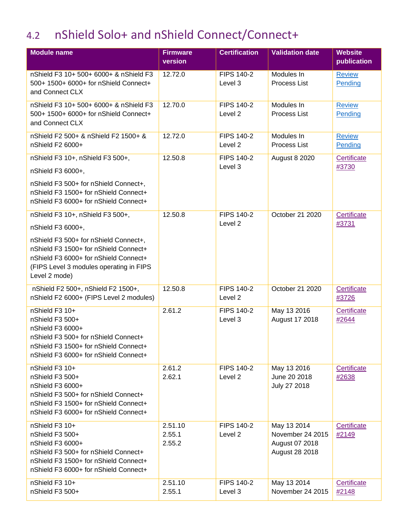#### <span id="page-9-0"></span>4.2 nShield Solo+ and nShield Connect/Connect+

| <b>Module name</b>                                                                                                                                                                                                                           | <b>Firmware</b><br>version  | <b>Certification</b>         | <b>Validation date</b>                                              | <b>Website</b><br>publication |
|----------------------------------------------------------------------------------------------------------------------------------------------------------------------------------------------------------------------------------------------|-----------------------------|------------------------------|---------------------------------------------------------------------|-------------------------------|
| nShield F3 10+ 500+ 6000+ & nShield F3<br>500+ 1500+ 6000+ for nShield Connect+<br>and Connect CLX                                                                                                                                           | 12.72.0                     | <b>FIPS 140-2</b><br>Level 3 | Modules In<br>Process List                                          | <b>Review</b><br>Pending      |
| nShield F3 10+ 500+ 6000+ & nShield F3<br>500+ 1500+ 6000+ for nShield Connect+<br>and Connect CLX                                                                                                                                           | 12.70.0                     | <b>FIPS 140-2</b><br>Level 2 | Modules In<br><b>Process List</b>                                   | <b>Review</b><br>Pending      |
| nShield F2 500+ & nShield F2 1500+ &<br>nShield F2 6000+                                                                                                                                                                                     | 12.72.0                     | <b>FIPS 140-2</b><br>Level 2 | Modules In<br>Process List                                          | <b>Review</b><br>Pending      |
| nShield F3 10+, nShield F3 500+,<br>nShield F3 6000+,<br>nShield F3 500+ for nShield Connect+,<br>nShield F3 1500+ for nShield Connect+<br>nShield F3 6000+ for nShield Connect+                                                             | 12.50.8                     | <b>FIPS 140-2</b><br>Level 3 | <b>August 8 2020</b>                                                | Certificate<br>#3730          |
| nShield F3 10+, nShield F3 500+,<br>nShield F3 6000+,<br>nShield F3 500+ for nShield Connect+,<br>nShield F3 1500+ for nShield Connect+<br>nShield F3 6000+ for nShield Connect+<br>(FIPS Level 3 modules operating in FIPS<br>Level 2 mode) | 12.50.8                     | <b>FIPS 140-2</b><br>Level 2 | October 21 2020                                                     | Certificate<br>#3731          |
| nShield F2 500+, nShield F2 1500+,<br>nShield F2 6000+ (FIPS Level 2 modules)                                                                                                                                                                | 12.50.8                     | <b>FIPS 140-2</b><br>Level 2 | October 21 2020                                                     | Certificate<br>#3726          |
| nShield F3 10+<br>nShield F3 500+<br>nShield F3 6000+<br>nShield F3 500+ for nShield Connect+<br>nShield F3 1500+ for nShield Connect+<br>nShield F3 6000+ for nShield Connect+                                                              | 2.61.2                      | <b>FIPS 140-2</b><br>Level 3 | May 13 2016<br>August 17 2018                                       | Certificate<br>#2644          |
| nShield F3 10+<br>nShield F3 500+<br>nShield F3 6000+<br>nShield F3 500+ for nShield Connect+<br>nShield F3 1500+ for nShield Connect+<br>nShield F3 6000+ for nShield Connect+                                                              | 2.61.2<br>2.62.1            | <b>FIPS 140-2</b><br>Level 2 | May 13 2016<br>June 20 2018<br>July 27 2018                         | Certificate<br>#2638          |
| nShield F3 10+<br>nShield F3 500+<br>nShield F3 6000+<br>nShield F3 500+ for nShield Connect+<br>nShield F3 1500+ for nShield Connect+<br>nShield F3 6000+ for nShield Connect+                                                              | 2.51.10<br>2.55.1<br>2.55.2 | <b>FIPS 140-2</b><br>Level 2 | May 13 2014<br>November 24 2015<br>August 07 2018<br>August 28 2018 | Certificate<br>#2149          |
| nShield F3 10+<br>nShield F3 500+                                                                                                                                                                                                            | 2.51.10<br>2.55.1           | <b>FIPS 140-2</b><br>Level 3 | May 13 2014<br>November 24 2015                                     | Certificate<br>#2148          |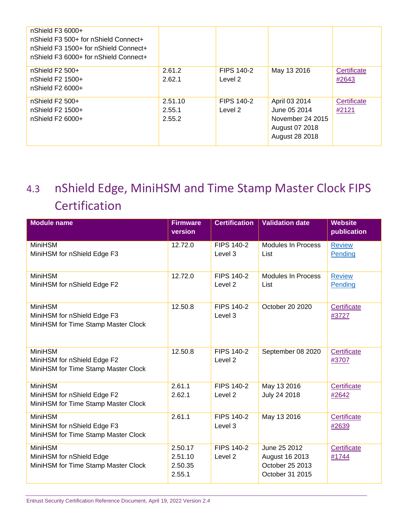| $n$ Shield F3 6000+<br>nShield F3 500+ for nShield Connect+<br>nShield F3 1500+ for nShield Connect+<br>nShield F3 6000+ for nShield Connect+ |         |                   |                  |             |
|-----------------------------------------------------------------------------------------------------------------------------------------------|---------|-------------------|------------------|-------------|
| nShield F2 500+                                                                                                                               | 2.61.2  | FIPS 140-2        | May 13 2016      | Certificate |
| nShield $F2$ 1500+                                                                                                                            | 2.62.1  | Level 2           |                  | #2643       |
| nShield $F26000+$                                                                                                                             |         |                   |                  |             |
| nShield $F2$ 500+                                                                                                                             | 2.51.10 | <b>FIPS 140-2</b> | April 03 2014    | Certificate |
| nShield $F2$ 1500+                                                                                                                            | 2.55.1  | Level 2           | June 05 2014     | #2121       |
| nShield $F26000+$                                                                                                                             | 2.55.2  |                   | November 24 2015 |             |
|                                                                                                                                               |         |                   | August 07 2018   |             |
|                                                                                                                                               |         |                   | August 28 2018   |             |
|                                                                                                                                               |         |                   |                  |             |

#### <span id="page-10-0"></span>4.3 nShield Edge, MiniHSM and Time Stamp Master Clock FIPS **Certification**

| <b>Module name</b>                                                                   | <b>Firmware</b><br>version              | <b>Certification</b>                    | <b>Validation date</b>                                               | <b>Website</b><br>publication |
|--------------------------------------------------------------------------------------|-----------------------------------------|-----------------------------------------|----------------------------------------------------------------------|-------------------------------|
| <b>MiniHSM</b><br>MiniHSM for nShield Edge F3                                        | 12.72.0                                 | <b>FIPS 140-2</b><br>Level 3            | <b>Modules In Process</b><br>List                                    | <b>Review</b><br>Pending      |
| <b>MiniHSM</b><br>MiniHSM for nShield Edge F2                                        | 12.72.0                                 | <b>FIPS 140-2</b><br>Level <sub>2</sub> | <b>Modules In Process</b><br>List                                    | <b>Review</b><br>Pending      |
| <b>MiniHSM</b><br>MiniHSM for nShield Edge F3<br>MiniHSM for Time Stamp Master Clock | 12.50.8                                 | <b>FIPS 140-2</b><br>Level 3            | October 20 2020                                                      | Certificate<br>#3727          |
| <b>MiniHSM</b><br>MiniHSM for nShield Edge F2<br>MiniHSM for Time Stamp Master Clock | 12.50.8                                 | <b>FIPS 140-2</b><br>Level <sub>2</sub> | September 08 2020                                                    | Certificate<br>#3707          |
| <b>MiniHSM</b><br>MiniHSM for nShield Edge F2<br>MiniHSM for Time Stamp Master Clock | 2.61.1<br>2.62.1                        | <b>FIPS 140-2</b><br>Level 2            | May 13 2016<br>July 24 2018                                          | Certificate<br>#2642          |
| <b>MiniHSM</b><br>MiniHSM for nShield Edge F3<br>MiniHSM for Time Stamp Master Clock | 2.61.1                                  | <b>FIPS 140-2</b><br>Level 3            | May 13 2016                                                          | Certificate<br>#2639          |
| <b>MiniHSM</b><br>MiniHSM for nShield Edge<br>MiniHSM for Time Stamp Master Clock    | 2.50.17<br>2.51.10<br>2.50.35<br>2.55.1 | <b>FIPS 140-2</b><br>Level <sub>2</sub> | June 25 2012<br>August 16 2013<br>October 25 2013<br>October 31 2015 | Certificate<br>#1744          |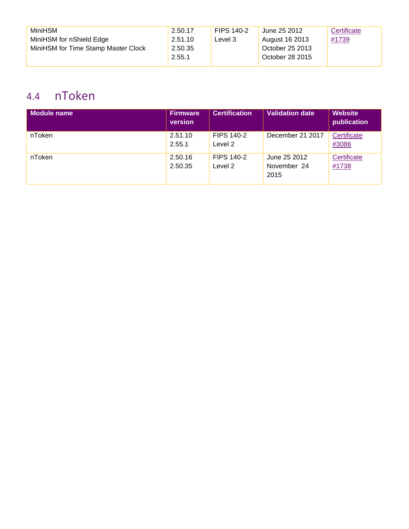| <b>MiniHSM</b>                      | 2.50.17 | FIPS 140-2 | June 25 2012    | Certificate |
|-------------------------------------|---------|------------|-----------------|-------------|
| MiniHSM for nShield Edge            | 2.51.10 | Level 3    | August 16 2013  | #1739       |
| MiniHSM for Time Stamp Master Clock | 2.50.35 |            | October 25 2013 |             |
|                                     | 2.55.1  |            | October 28 2015 |             |
|                                     |         |            |                 |             |

#### <span id="page-11-0"></span>4.4 nToken

| Module name | Firmware<br>version | <b>Certification</b>  | <b>Validation date</b>              | <b>Website</b><br>publication |
|-------------|---------------------|-----------------------|-------------------------------------|-------------------------------|
| nToken      | 2.51.10<br>2.55.1   | FIPS 140-2<br>Level 2 | December 21 2017                    | Certificate<br>#3086          |
| nToken      | 2.50.16<br>2.50.35  | FIPS 140-2<br>Level 2 | June 25 2012<br>November 24<br>2015 | Certificate<br>#1738          |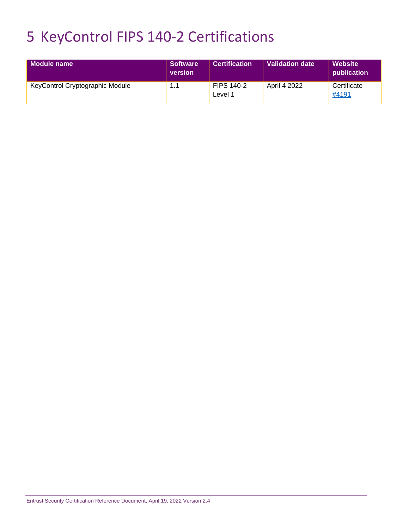### <span id="page-12-0"></span>5 KeyControl FIPS 140-2 Certifications

| <b>Module name</b>              | <b>Software</b><br>version | <b>Certification</b>         | <b>Validation date</b> | Website<br>publication |
|---------------------------------|----------------------------|------------------------------|------------------------|------------------------|
| KeyControl Cryptographic Module | 1.1                        | <b>FIPS 140-2</b><br>Level 1 | April 4 2022           | Certificate<br>#4191   |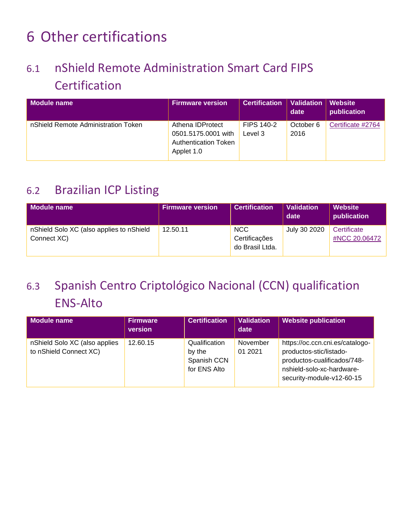### <span id="page-13-0"></span>6 Other certifications

### <span id="page-13-1"></span>6.1 nShield Remote Administration Smart Card FIPS **Certification**

| Module name                         | <b>Firmware version</b>                                                              | <b>Certification</b>         | Validation   Website<br>date | publication       |
|-------------------------------------|--------------------------------------------------------------------------------------|------------------------------|------------------------------|-------------------|
| nShield Remote Administration Token | Athena IDProtect<br>0501.5175.0001 with<br><b>Authentication Token</b><br>Applet 1.0 | <b>FIPS 140-2</b><br>Level 3 | October 6<br>2016            | Certificate #2764 |

#### <span id="page-13-2"></span>6.2 Brazilian ICP Listing

| Module name                                             | <b>Firmware version</b> | <b>Certification</b>                           | <b>Validation</b><br>date | <b>Website</b><br>publication |
|---------------------------------------------------------|-------------------------|------------------------------------------------|---------------------------|-------------------------------|
| nShield Solo XC (also applies to nShield<br>Connect XC) | 12.50.11                | <b>NCC</b><br>Certificações<br>do Brasil Ltda. | July 30 2020              | Certificate<br>#NCC 20.06472  |

### <span id="page-13-3"></span>6.3 Spanish Centro Criptológico Nacional (CCN) qualification ENS-Alto

| Module name                                             | <b>Firmware</b><br>version | <b>Certification</b>                                   | <b>Validation</b><br>date | <b>Website publication</b>                                                                                                                          |
|---------------------------------------------------------|----------------------------|--------------------------------------------------------|---------------------------|-----------------------------------------------------------------------------------------------------------------------------------------------------|
| nShield Solo XC (also applies<br>to nShield Connect XC) | 12.60.15                   | Qualification<br>by the<br>Spanish CCN<br>for ENS Alto | November<br>01 2021       | https://oc.ccn.cni.es/catalogo-<br>productos-stic/listado-<br>productos-cualificados/748-<br>nshield-solo-xc-hardware-<br>security-module-v12-60-15 |